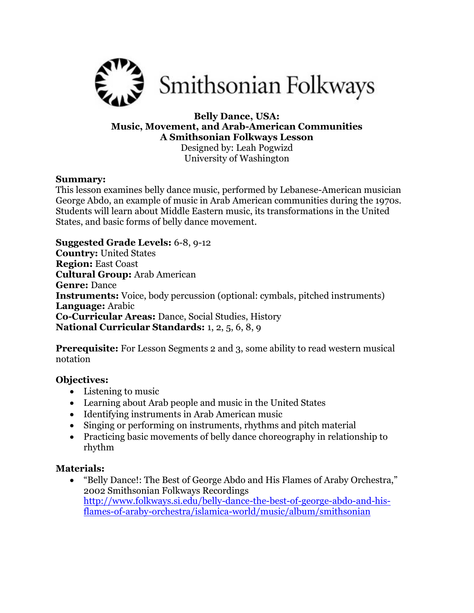

### **Belly Dance, USA: Music, Movement, and Arab-American Communities A Smithsonian Folkways Lesson** Designed by: Leah Pogwizd University of Washington

### **Summary:**

This lesson examines belly dance music, performed by Lebanese-American musician George Abdo, an example of music in Arab American communities during the 1970s. Students will learn about Middle Eastern music, its transformations in the United States, and basic forms of belly dance movement.

**Suggested Grade Levels:** 6-8, 9-12 **Country:** United States **Region:** East Coast **Cultural Group:** Arab American **Genre:** Dance **Instruments:** Voice, body percussion (optional: cymbals, pitched instruments) **Language:** Arabic **Co-Curricular Areas:** Dance, Social Studies, History **National Curricular Standards:** 1, 2, 5, 6, 8, 9

**Prerequisite:** For Lesson Segments 2 and 3, some ability to read western musical notation

# **Objectives:**

- Listening to music
- Learning about Arab people and music in the United States
- Identifying instruments in Arab American music
- Singing or performing on instruments, rhythms and pitch material
- Practicing basic movements of belly dance choreography in relationship to rhythm

# **Materials:**

 "Belly Dance!: The Best of George Abdo and His Flames of Araby Orchestra," 2002 Smithsonian Folkways Recordings [http://www.folkways.si.edu/belly-dance-the-best-of-george-abdo-and-his](http://www.folkways.si.edu/belly-dance-the-best-of-george-abdo-and-his-flames-of-araby-orchestra/islamica-world/music/album/smithsonian)[flames-of-araby-orchestra/islamica-world/music/album/smithsonian](http://www.folkways.si.edu/belly-dance-the-best-of-george-abdo-and-his-flames-of-araby-orchestra/islamica-world/music/album/smithsonian)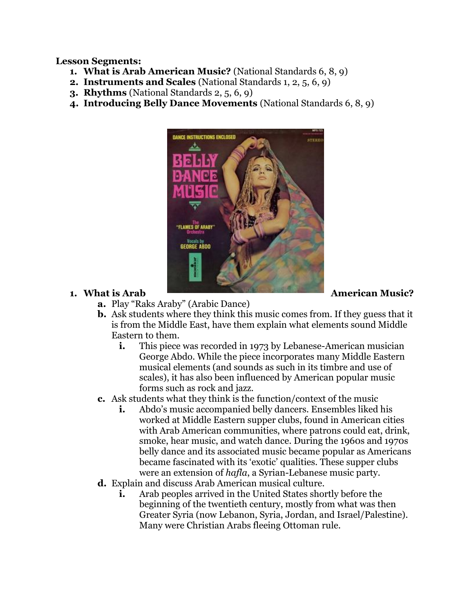**Lesson Segments:**

- **1. What is Arab American Music?** (National Standards 6, 8, 9)
- **2. Instruments and Scales** (National Standards 1, 2, 5, 6, 9)
- **3. Rhythms** (National Standards 2, 5, 6, 9)
- **4. Introducing Belly Dance Movements** (National Standards 6, 8, 9)



- **a.** Play "Raks Araby" (Arabic Dance)
- **b.** Ask students where they think this music comes from. If they guess that it is from the Middle East, have them explain what elements sound Middle Eastern to them.
	- **i.** This piece was recorded in 1973 by Lebanese-American musician George Abdo. While the piece incorporates many Middle Eastern musical elements (and sounds as such in its timbre and use of scales), it has also been influenced by American popular music forms such as rock and jazz.
- **c.** Ask students what they think is the function/context of the music
	- **i.** Abdo's music accompanied belly dancers. Ensembles liked his worked at Middle Eastern supper clubs, found in American cities with Arab American communities, where patrons could eat, drink, smoke, hear music, and watch dance. During the 1960s and 1970s belly dance and its associated music became popular as Americans became fascinated with its 'exotic' qualities. These supper clubs were an extension of *hafla*, a Syrian-Lebanese music party.
- **d.** Explain and discuss Arab American musical culture.
	- **i.** Arab peoples arrived in the United States shortly before the beginning of the twentieth century, mostly from what was then Greater Syria (now Lebanon, Syria, Jordan, and Israel/Palestine). Many were Christian Arabs fleeing Ottoman rule.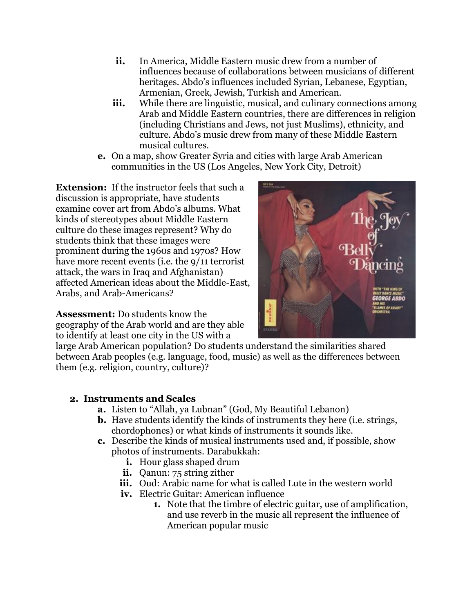- **ii.** In America, Middle Eastern music drew from a number of influences because of collaborations between musicians of different heritages. Abdo's influences included Syrian, Lebanese, Egyptian, Armenian, Greek, Jewish, Turkish and American.
- **iii.** While there are linguistic, musical, and culinary connections among Arab and Middle Eastern countries, there are differences in religion (including Christians and Jews, not just Muslims), ethnicity, and culture. Abdo's music drew from many of these Middle Eastern musical cultures.
- **e.** On a map, show Greater Syria and cities with large Arab American communities in the US (Los Angeles, New York City, Detroit)

**Extension:** If the instructor feels that such a discussion is appropriate, have students examine cover art from Abdo's albums. What kinds of stereotypes about Middle Eastern culture do these images represent? Why do students think that these images were prominent during the 1960s and 1970s? How have more recent events (i.e. the 9/11 terrorist attack, the wars in Iraq and Afghanistan) affected American ideas about the Middle-East, Arabs, and Arab-Americans?

**Assessment:** Do students know the geography of the Arab world and are they able to identify at least one city in the US with a



large Arab American population? Do students understand the similarities shared between Arab peoples (e.g. language, food, music) as well as the differences between them (e.g. religion, country, culture)?

# **2. Instruments and Scales**

- **a.** Listen to "Allah, ya Lubnan" (God, My Beautiful Lebanon)
- **b.** Have students identify the kinds of instruments they here (i.e. strings, chordophones) or what kinds of instruments it sounds like.
- **c.** Describe the kinds of musical instruments used and, if possible, show photos of instruments. Darabukkah:
	- **i.** Hour glass shaped drum
	- **ii.** Qanun: 75 string zither
	- **iii.** Oud: Arabic name for what is called Lute in the western world
	- **iv.** Electric Guitar: American influence
		- **1.** Note that the timbre of electric guitar, use of amplification, and use reverb in the music all represent the influence of American popular music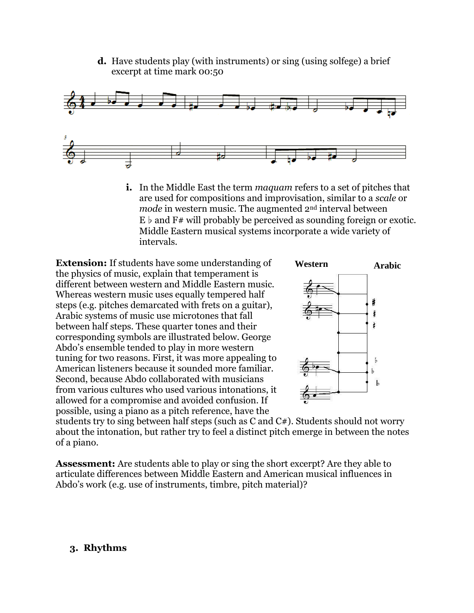**d.** Have students play (with instruments) or sing (using solfege) a brief excerpt at time mark 00:50



**i.** In the Middle East the term *maquam* refers to a set of pitches that are used for compositions and improvisation, similar to a *scale* or *mode* in western music. The augmented 2<sup>nd</sup> interval between  $E \flat$  and  $F#$  will probably be perceived as sounding foreign or exotic. Middle Eastern musical systems incorporate a wide variety of intervals.

**Extension:** If students have some understanding of the physics of music, explain that temperament is different between western and Middle Eastern music. Whereas western music uses equally tempered half steps (e.g. pitches demarcated with frets on a guitar), Arabic systems of music use microtones that fall between half steps. These quarter tones and their corresponding symbols are illustrated below. George Abdo's ensemble tended to play in more western tuning for two reasons. First, it was more appealing to American listeners because it sounded more familiar. Second, because Abdo collaborated with musicians from various cultures who used various intonations, it allowed for a compromise and avoided confusion. If possible, using a piano as a pitch reference, have the



students try to sing between half steps (such as C and C#). Students should not worry about the intonation, but rather try to feel a distinct pitch emerge in between the notes of a piano.

**Assessment:** Are students able to play or sing the short excerpt? Are they able to articulate differences between Middle Eastern and American musical influences in Abdo's work (e.g. use of instruments, timbre, pitch material)?

# **3. Rhythms**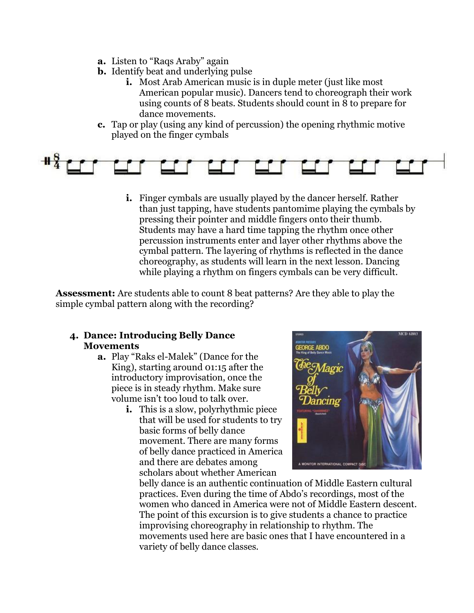- **a.** Listen to "Raqs Araby" again
- **b.** Identify beat and underlying pulse
	- **i.** Most Arab American music is in duple meter (just like most American popular music). Dancers tend to choreograph their work using counts of 8 beats. Students should count in 8 to prepare for dance movements.
- **c.** Tap or play (using any kind of percussion) the opening rhythmic motive played on the finger cymbals



**i.** Finger cymbals are usually played by the dancer herself. Rather than just tapping, have students pantomime playing the cymbals by pressing their pointer and middle fingers onto their thumb. Students may have a hard time tapping the rhythm once other percussion instruments enter and layer other rhythms above the cymbal pattern. The layering of rhythms is reflected in the dance choreography, as students will learn in the next lesson. Dancing while playing a rhythm on fingers cymbals can be very difficult.

**Assessment:** Are students able to count 8 beat patterns? Are they able to play the simple cymbal pattern along with the recording?

# **4. Dance: Introducing Belly Dance Movements**

- **a.** Play "Raks el-Malek" (Dance for the King), starting around 01:15 after the introductory improvisation, once the piece is in steady rhythm. Make sure volume isn't too loud to talk over.
	- **i.** This is a slow, polyrhythmic piece that will be used for students to try basic forms of belly dance movement. There are many forms of belly dance practiced in America and there are debates among scholars about whether American



belly dance is an authentic continuation of Middle Eastern cultural practices. Even during the time of Abdo's recordings, most of the women who danced in America were not of Middle Eastern descent. The point of this excursion is to give students a chance to practice improvising choreography in relationship to rhythm. The movements used here are basic ones that I have encountered in a variety of belly dance classes.